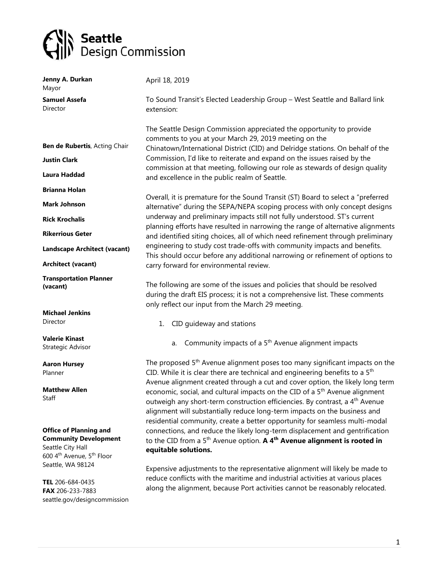## Seattle<br>Supplement Design Commission

seattle.gov/designcommission

| Jenny A. Durkan                                                                                                                         | April 18, 2019                                                                                                                                                                                                                                                                                                                                                                                                                   |
|-----------------------------------------------------------------------------------------------------------------------------------------|----------------------------------------------------------------------------------------------------------------------------------------------------------------------------------------------------------------------------------------------------------------------------------------------------------------------------------------------------------------------------------------------------------------------------------|
| Mayor<br><b>Samuel Assefa</b><br>Director                                                                                               | To Sound Transit's Elected Leadership Group - West Seattle and Ballard link<br>extension:                                                                                                                                                                                                                                                                                                                                        |
|                                                                                                                                         | The Seattle Design Commission appreciated the opportunity to provide                                                                                                                                                                                                                                                                                                                                                             |
| Ben de Rubertis, Acting Chair                                                                                                           | comments to you at your March 29, 2019 meeting on the<br>Chinatown/International District (CID) and Delridge stations. On behalf of the                                                                                                                                                                                                                                                                                          |
| <b>Justin Clark</b>                                                                                                                     | Commission, I'd like to reiterate and expand on the issues raised by the<br>commission at that meeting, following our role as stewards of design quality                                                                                                                                                                                                                                                                         |
| Laura Haddad                                                                                                                            | and excellence in the public realm of Seattle.                                                                                                                                                                                                                                                                                                                                                                                   |
| <b>Brianna Holan</b>                                                                                                                    | Overall, it is premature for the Sound Transit (ST) Board to select a "preferred                                                                                                                                                                                                                                                                                                                                                 |
| <b>Mark Johnson</b>                                                                                                                     | alternative" during the SEPA/NEPA scoping process with only concept designs                                                                                                                                                                                                                                                                                                                                                      |
| <b>Rick Krochalis</b>                                                                                                                   | underway and preliminary impacts still not fully understood. ST's current<br>planning efforts have resulted in narrowing the range of alternative alignments                                                                                                                                                                                                                                                                     |
| <b>Rikerrious Geter</b>                                                                                                                 | and identified siting choices, all of which need refinement through preliminary                                                                                                                                                                                                                                                                                                                                                  |
| <b>Landscape Architect (vacant)</b>                                                                                                     | engineering to study cost trade-offs with community impacts and benefits.<br>This should occur before any additional narrowing or refinement of options to                                                                                                                                                                                                                                                                       |
| <b>Architect (vacant)</b>                                                                                                               | carry forward for environmental review.                                                                                                                                                                                                                                                                                                                                                                                          |
| <b>Transportation Planner</b><br>(vacant)                                                                                               | The following are some of the issues and policies that should be resolved<br>during the draft EIS process; it is not a comprehensive list. These comments<br>only reflect our input from the March 29 meeting.                                                                                                                                                                                                                   |
| <b>Michael Jenkins</b>                                                                                                                  |                                                                                                                                                                                                                                                                                                                                                                                                                                  |
| Director                                                                                                                                | CID guideway and stations<br>1.                                                                                                                                                                                                                                                                                                                                                                                                  |
| <b>Valerie Kinast</b><br>Strategic Advisor                                                                                              | Community impacts of a 5 <sup>th</sup> Avenue alignment impacts<br>a.                                                                                                                                                                                                                                                                                                                                                            |
| <b>Aaron Hursey</b><br>Planner                                                                                                          | The proposed 5 <sup>th</sup> Avenue alignment poses too many significant impacts on the<br>CID. While it is clear there are technical and engineering benefits to a 5 <sup>th</sup>                                                                                                                                                                                                                                              |
| <b>Matthew Allen</b><br>Staff                                                                                                           | Avenue alignment created through a cut and cover option, the likely long term<br>economic, social, and cultural impacts on the CID of a 5 <sup>th</sup> Avenue alignment<br>outweigh any short-term construction efficiencies. By contrast, a 4 <sup>th</sup> Avenue<br>alignment will substantially reduce long-term impacts on the business and<br>residential community, create a better opportunity for seamless multi-modal |
| <b>Office of Planning and</b><br><b>Community Development</b><br>Seattle City Hall<br>600 4 <sup>th</sup> Avenue, 5 <sup>th</sup> Floor | connections, and reduce the likely long-term displacement and gentrification<br>to the CID from a 5 <sup>th</sup> Avenue option. A 4 <sup>th</sup> Avenue alignment is rooted in<br>equitable solutions.                                                                                                                                                                                                                         |
| Seattle, WA 98124<br>TEL 206-684-0435<br>FAX 206-233-7883                                                                               | Expensive adjustments to the representative alignment will likely be made to<br>reduce conflicts with the maritime and industrial activities at various places<br>along the alignment, because Port activities cannot be reasonably relocated.                                                                                                                                                                                   |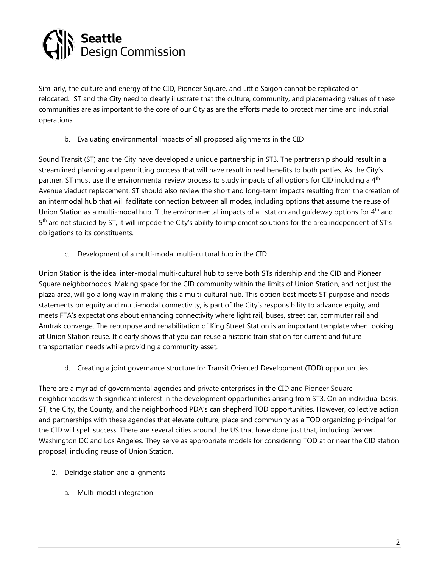

Similarly, the culture and energy of the CID, Pioneer Square, and Little Saigon cannot be replicated or relocated. ST and the City need to clearly illustrate that the culture, community, and placemaking values of these communities are as important to the core of our City as are the efforts made to protect maritime and industrial operations.

b. Evaluating environmental impacts of all proposed alignments in the CID

Sound Transit (ST) and the City have developed a unique partnership in ST3. The partnership should result in a streamlined planning and permitting process that will have result in real benefits to both parties. As the City's partner, ST must use the environmental review process to study impacts of all options for CID including a 4<sup>th</sup> Avenue viaduct replacement. ST should also review the short and long-term impacts resulting from the creation of an intermodal hub that will facilitate connection between all modes, including options that assume the reuse of Union Station as a multi-modal hub. If the environmental impacts of all station and quideway options for 4<sup>th</sup> and 5th are not studied by ST, it will impede the City's ability to implement solutions for the area independent of ST's obligations to its constituents.

c. Development of a multi-modal multi-cultural hub in the CID

Union Station is the ideal inter-modal multi-cultural hub to serve both STs ridership and the CID and Pioneer Square neighborhoods. Making space for the CID community within the limits of Union Station, and not just the plaza area, will go a long way in making this a multi-cultural hub. This option best meets ST purpose and needs statements on equity and multi-modal connectivity, is part of the City's responsibility to advance equity, and meets FTA's expectations about enhancing connectivity where light rail, buses, street car, commuter rail and Amtrak converge. The repurpose and rehabilitation of King Street Station is an important template when looking at Union Station reuse. It clearly shows that you can reuse a historic train station for current and future transportation needs while providing a community asset.

d. Creating a joint governance structure for Transit Oriented Development (TOD) opportunities

There are a myriad of governmental agencies and private enterprises in the CID and Pioneer Square neighborhoods with significant interest in the development opportunities arising from ST3. On an individual basis, ST, the City, the County, and the neighborhood PDA's can shepherd TOD opportunities. However, collective action and partnerships with these agencies that elevate culture, place and community as a TOD organizing principal for the CID will spell success. There are several cities around the US that have done just that, including Denver, Washington DC and Los Angeles. They serve as appropriate models for considering TOD at or near the CID station proposal, including reuse of Union Station.

- 2. Delridge station and alignments
	- a. Multi-modal integration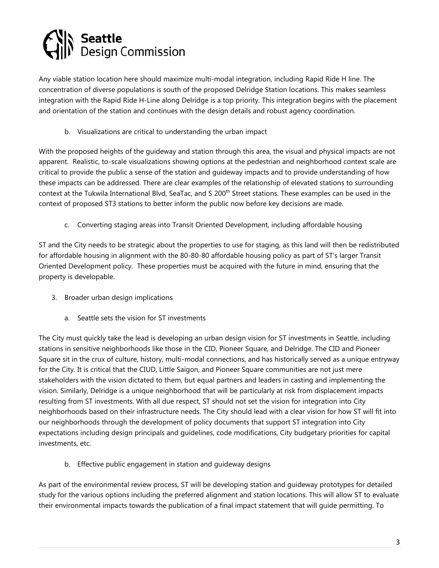

Any viable station location here should maximize multi-modal integration, including Rapid Ride H line. The concentration of diverse populations is south of the proposed Delridge Station locations. This makes seamless integration with the Rapid Ride H-Line along Delridge is a top priority. This integration begins with the placement and orientation of the station and continues with the design details and robust agency coordination.

b. Visualizations are critical to understanding the urban impact

With the proposed heights of the guideway and station through this area, the visual and physical impacts are not apparent. Realistic, to-scale visualizations showing options at the pedestrian and neighborhood context scale are critical to provide the public a sense of the station and guideway impacts and to provide understanding of how these impacts can be addressed. There are clear examples of the relationship of elevated stations to surrounding context at the Tukwila International Blvd, SeaTac, and S 200<sup>th</sup> Street stations. These examples can be used in the context of proposed ST3 stations to better inform the public now before key decisions are made.

c. Converting staging areas into Transit Oriented Development, including affordable housing

ST and the City needs to be strategic about the properties to use for staging, as this land will then be redistributed for affordable housing in alignment with the 80-80-80 affordable housing policy as part of ST's larger Transit Oriented Development policy. These properties must be acquired with the future in mind, ensuring that the property is developable.

- 3. Broader urban design implications
	- a. Seattle sets the vision for ST investments

The City must quickly take the lead is developing an urban design vision for ST investments in Seattle, including stations in sensitive neighborhoods like those in the CID, Pioneer Square, and Delridge. The CID and Pioneer Square sit in the crux of culture, history, multi-modal connections, and has historically served as a unique entryway for the City. It is critical that the CIUD, Little Saigon, and Pioneer Square communities are not just mere stakeholders with the vision dictated to them, but equal partners and leaders in casting and implementing the vision. Similarly, Delridge is a unique neighborhood that will be particularly at risk from displacement impacts resulting from ST investments. With all due respect, ST should not set the vision for integration into City neighborhoods based on their infrastructure needs. The City should lead with a clear vision for how ST will fit into our neighborhoods through the development of policy documents that support ST integration into City expectations including design principals and guidelines, code modifications, City budgetary priorities for capital investments, etc.

b. Effective public engagement in station and guideway designs

As part of the environmental review process, ST will be developing station and guideway prototypes for detailed study for the various options including the preferred alignment and station locations. This will allow ST to evaluate their environmental impacts towards the publication of a final impact statement that will guide permitting. To